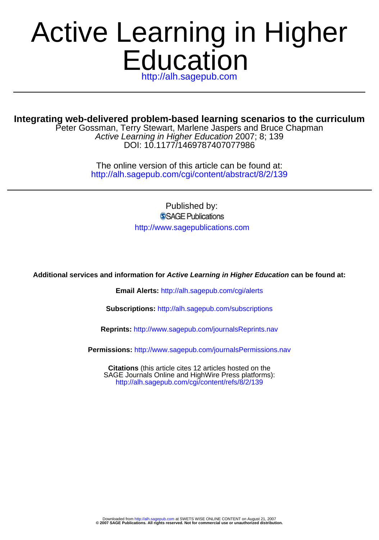# **Education** http://alh.sagepub.com Active Learning in Higher

## **Integrating web-delivered problem-based learning scenarios to the curriculum**

DOI: 10.1177/1469787407077986 Active Learning in Higher Education 2007; 8; 139 Peter Gossman, Terry Stewart, Marlene Jaspers and Bruce Chapman

> http://alh.sagepub.com/cgi/content/abstract/8/2/139 The online version of this article can be found at:

> > Published by: SSAGE Publications http://www.sagepublications.com

**Additional services and information for Active Learning in Higher Education can be found at:**

**Email Alerts:** <http://alh.sagepub.com/cgi/alerts>

**Subscriptions:** <http://alh.sagepub.com/subscriptions>

**Reprints:** <http://www.sagepub.com/journalsReprints.nav>

**Permissions:** <http://www.sagepub.com/journalsPermissions.nav>

<http://alh.sagepub.com/cgi/content/refs/8/2/139> SAGE Journals Online and HighWire Press platforms): **Citations** (this article cites 12 articles hosted on the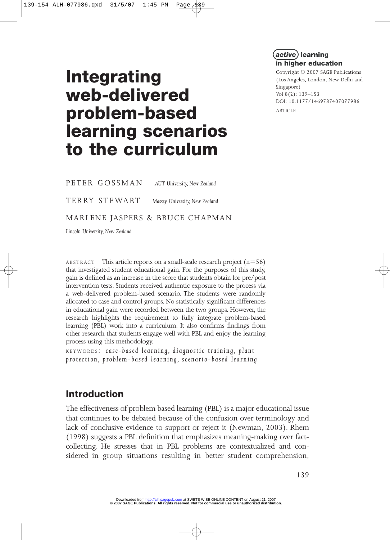# **Integrating web-delivered problem-based learning scenarios to the curriculum**

### active) learning in higher education

Copyright © 2007 SAGE Publications (Los Angeles, London, New Delhi and Singapore) Vol 8(2): 139–153 DOI: 10.1177/1469787407077986 **ARTICLE** 

PETER GOSSMAN *AUT University, New Zealand*

TERRY STEWART *Massey University, New Zealand*

MARLENE JASPERS & BRUCE CHAPMAN

*Lincoln University, New Zealand*

ABSTRACT This article reports on a small-scale research project  $(n=56)$ that investigated student educational gain. For the purposes of this study, gain is defined as an increase in the score that students obtain for pre/post intervention tests. Students received authentic exposure to the process via a web-delivered problem-based scenario. The students were randomly allocated to case and control groups. No statistically significant differences in educational gain were recorded between the two groups. However, the research highlights the requirement to fully integrate problem-based learning (PBL) work into a curriculum. It also confirms findings from other research that students engage well with PBL and enjoy the learning process using this methodology.

KEYWORDS *: case-based learning, diagnostic training, plant protection, problem-based learning, scenario-based learning*

# **Introduction**

The effectiveness of problem based learning (PBL) is a major educational issue that continues to be debated because of the confusion over terminology and lack of conclusive evidence to support or reject it (Newman, 2003). Rhem (1998) suggests a PBL definition that emphasizes meaning-making over factcollecting. He stresses that in PBL problems are contextualized and considered in group situations resulting in better student comprehension,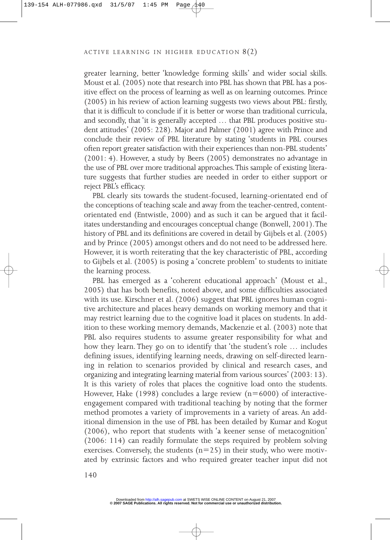greater learning, better 'knowledge forming skills' and wider social skills. Moust et al. (2005) note that research into PBL has shown that PBL has a positive effect on the process of learning as well as on learning outcomes. Prince (2005) in his review of action learning suggests two views about PBL: firstly, that it is difficult to conclude if it is better or worse than traditional curricula, and secondly, that 'it is generally accepted … that PBL produces positive student attitudes' (2005: 228). Major and Palmer (2001) agree with Prince and conclude their review of PBL literature by stating 'students in PBL courses often report greater satisfaction with their experiences than non-PBL students' (2001: 4). However, a study by Beers (2005) demonstrates no advantage in the use of PBL over more traditional approaches.This sample of existing literature suggests that further studies are needed in order to either support or reject PBL's efficacy.

PBL clearly sits towards the student-focused, learning-orientated end of the conceptions of teaching scale and away from the teacher-centred, contentorientated end (Entwistle, 2000) and as such it can be argued that it facilitates understanding and encourages conceptual change (Bonwell, 2001).The history of PBL and its definitions are covered in detail by Gijbels et al. (2005) and by Prince (2005) amongst others and do not need to be addressed here. However, it is worth reiterating that the key characteristic of PBL, according to Gijbels et al. (2005) is posing a 'concrete problem' to students to initiate the learning process.

PBL has emerged as a 'coherent educational approach' (Moust et al., 2005) that has both benefits, noted above, and some difficulties associated with its use. Kirschner et al. (2006) suggest that PBL ignores human cognitive architecture and places heavy demands on working memory and that it may restrict learning due to the cognitive load it places on students. In addition to these working memory demands, Mackenzie et al. (2003) note that PBL also requires students to assume greater responsibility for what and how they learn. They go on to identify that 'the student's role … includes defining issues, identifying learning needs, drawing on self-directed learning in relation to scenarios provided by clinical and research cases, and organizing and integrating learning material from various sources' (2003: 13). It is this variety of roles that places the cognitive load onto the students. However, Hake (1998) concludes a large review  $(n=6000)$  of interactiveengagement compared with traditional teaching by noting that the former method promotes a variety of improvements in a variety of areas. An additional dimension in the use of PBL has been detailed by Kumar and Kogut (2006), who report that students with 'a keener sense of metacognition' (2006: 114) can readily formulate the steps required by problem solving exercises. Conversely, the students  $(n=25)$  in their study, who were motivated by extrinsic factors and who required greater teacher input did not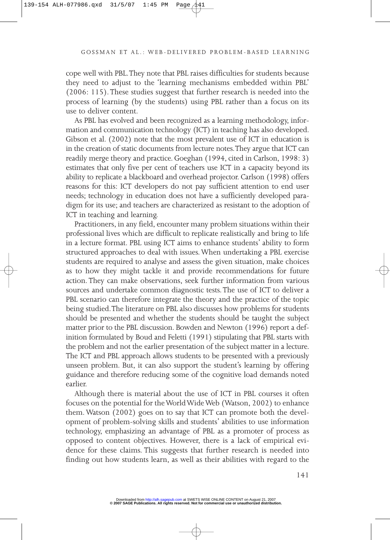cope well with PBL.They note that PBL raises difficulties for students because they need to adjust to the 'learning mechanisms embedded within PBL' (2006: 115).These studies suggest that further research is needed into the process of learning (by the students) using PBL rather than a focus on its use to deliver content.

As PBL has evolved and been recognized as a learning methodology, information and communication technology (ICT) in teaching has also developed. Gibson et al. (2002) note that the most prevalent use of ICT in education is in the creation of static documents from lecture notes.They argue that ICT can readily merge theory and practice. Goeghan (1994, cited in Carlson, 1998: 3) estimates that only five per cent of teachers use ICT in a capacity beyond its ability to replicate a blackboard and overhead projector. Carlson (1998) offers reasons for this: ICT developers do not pay sufficient attention to end user needs; technology in education does not have a sufficiently developed paradigm for its use; and teachers are characterized as resistant to the adoption of ICT in teaching and learning.

Practitioners, in any field, encounter many problem situations within their professional lives which are difficult to replicate realistically and bring to life in a lecture format. PBL using ICT aims to enhance students' ability to form structured approaches to deal with issues. When undertaking a PBL exercise students are required to analyse and assess the given situation, make choices as to how they might tackle it and provide recommendations for future action. They can make observations, seek further information from various sources and undertake common diagnostic tests.The use of ICT to deliver a PBL scenario can therefore integrate the theory and the practice of the topic being studied.The literature on PBL also discusses how problems for students should be presented and whether the students should be taught the subject matter prior to the PBL discussion. Bowden and Newton (1996) report a definition formulated by Boud and Feletti (1991) stipulating that PBL starts with the problem and not the earlier presentation of the subject matter in a lecture. The ICT and PBL approach allows students to be presented with a previously unseen problem. But, it can also support the student's learning by offering guidance and therefore reducing some of the cognitive load demands noted earlier.

Although there is material about the use of ICT in PBL courses it often focuses on the potential for the World Wide Web (Watson, 2002) to enhance them. Watson (2002) goes on to say that ICT can promote both the development of problem-solving skills and students' abilities to use information technology, emphasizing an advantage of PBL as a promoter of process as opposed to content objectives. However, there is a lack of empirical evidence for these claims. This suggests that further research is needed into finding out how students learn, as well as their abilities with regard to the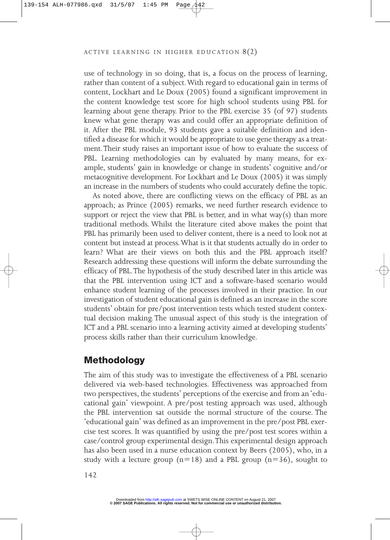use of technology in so doing, that is, a focus on the process of learning, rather than content of a subject.With regard to educational gain in terms of content, Lockhart and Le Doux (2005) found a significant improvement in the content knowledge test score for high school students using PBL for learning about gene therapy. Prior to the PBL exercise 35 (of 97) students knew what gene therapy was and could offer an appropriate definition of it. After the PBL module, 93 students gave a suitable definition and identified a disease for which it would be appropriate to use gene therapy as a treatment.Their study raises an important issue of how to evaluate the success of PBL. Learning methodologies can by evaluated by many means, for example, students' gain in knowledge or change in students' cognitive and/or metacognitive development. For Lockhart and Le Doux (2005) it was simply an increase in the numbers of students who could accurately define the topic.

As noted above, there are conflicting views on the efficacy of PBL as an approach; as Prince (2005) remarks, we need further research evidence to support or reject the view that PBL is better, and in what way(s) than more traditional methods. Whilst the literature cited above makes the point that PBL has primarily been used to deliver content, there is a need to look not at content but instead at process.What is it that students actually do in order to learn? What are their views on both this and the PBL approach itself? Research addressing these questions will inform the debate surrounding the efficacy of PBL.The hypothesis of the study described later in this article was that the PBL intervention using ICT and a software-based scenario would enhance student learning of the processes involved in their practice. In our investigation of student educational gain is defined as an increase in the score students' obtain for pre/post intervention tests which tested student contextual decision making. The unusual aspect of this study is the integration of ICT and a PBL scenario into a learning activity aimed at developing students' process skills rather than their curriculum knowledge.

## **Methodology**

The aim of this study was to investigate the effectiveness of a PBL scenario delivered via web-based technologies. Effectiveness was approached from two perspectives, the students' perceptions of the exercise and from an 'educational gain' viewpoint. A pre/post testing approach was used, although the PBL intervention sat outside the normal structure of the course. The 'educational gain' was defined as an improvement in the pre/post PBL exercise test scores. It was quantified by using the pre/post test scores within a case/control group experimental design.This experimental design approach has also been used in a nurse education context by Beers (2005), who, in a study with a lecture group ( $n=18$ ) and a PBL group ( $n=36$ ), sought to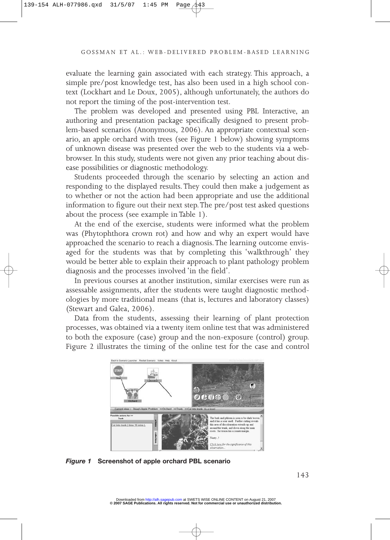evaluate the learning gain associated with each strategy. This approach, a simple pre/post knowledge test, has also been used in a high school context (Lockhart and Le Doux, 2005), although unfortunately, the authors do not report the timing of the post-intervention test.

The problem was developed and presented using PBL Interactive, an authoring and presentation package specifically designed to present problem-based scenarios (Anonymous, 2006). An appropriate contextual scenario, an apple orchard with trees (see Figure 1 below) showing symptoms of unknown disease was presented over the web to the students via a webbrowser. In this study, students were not given any prior teaching about disease possibilities or diagnostic methodology.

Students proceeded through the scenario by selecting an action and responding to the displayed results. They could then make a judgement as to whether or not the action had been appropriate and use the additional information to figure out their next step.The pre/post test asked questions about the process (see example in Table 1).

At the end of the exercise, students were informed what the problem was (Phytophthora crown rot) and how and why an expert would have approached the scenario to reach a diagnosis.The learning outcome envisaged for the students was that by completing this 'walkthrough' they would be better able to explain their approach to plant pathology problem diagnosis and the processes involved 'in the field'.

In previous courses at another institution, similar exercises were run as assessable assignments, after the students were taught diagnostic methodologies by more traditional means (that is, lectures and laboratory classes) (Stewart and Galea, 2006).

Data from the students, assessing their learning of plant protection processes, was obtained via a twenty item online test that was administered to both the exposure (case) group and the non-exposure (control) group. Figure 2 illustrates the timing of the online test for the case and control



*Figure 1* **Screenshot of apple orchard PBL scenario**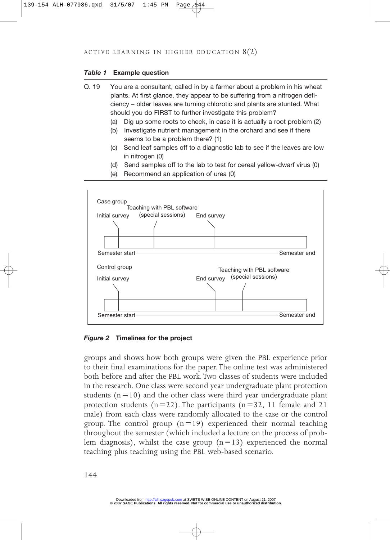#### *Table 1* **Example question**

- Q. 19 You are a consultant, called in by a farmer about a problem in his wheat plants. At first glance, they appear to be suffering from a nitrogen deficiency – older leaves are turning chlorotic and plants are stunted. What should you do FIRST to further investigate this problem?
	- (a) Dig up some roots to check, in case it is actually a root problem (2)
	- (b) Investigate nutrient management in the orchard and see if there seems to be a problem there? (1)
	- (c) Send leaf samples off to a diagnostic lab to see if the leaves are low in nitrogen (0)
	- (d) Send samples off to the lab to test for cereal yellow-dwarf virus (0)



(e) Recommend an application of urea (0)

#### *Figure 2* **Timelines for the project**

groups and shows how both groups were given the PBL experience prior to their final examinations for the paper. The online test was administered both before and after the PBL work.Two classes of students were included in the research. One class were second year undergraduate plant protection students  $(n=10)$  and the other class were third year undergraduate plant protection students ( $n=22$ ). The participants ( $n=32$ , 11 female and 21 male) from each class were randomly allocated to the case or the control group. The control group  $(n=19)$  experienced their normal teaching throughout the semester (which included a lecture on the process of problem diagnosis), whilst the case group  $(n=13)$  experienced the normal teaching plus teaching using the PBL web-based scenario.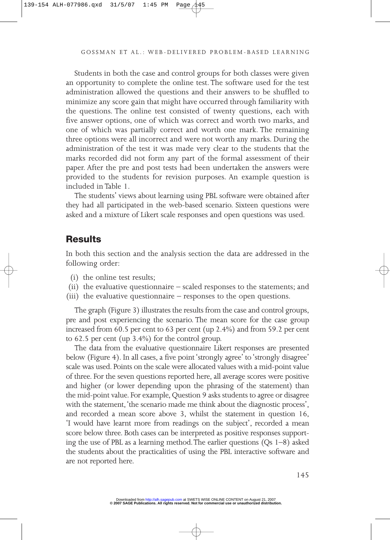Students in both the case and control groups for both classes were given an opportunity to complete the online test. The software used for the test administration allowed the questions and their answers to be shuffled to minimize any score gain that might have occurred through familiarity with the questions. The online test consisted of twenty questions, each with five answer options, one of which was correct and worth two marks, and one of which was partially correct and worth one mark. The remaining three options were all incorrect and were not worth any marks. During the administration of the test it was made very clear to the students that the marks recorded did not form any part of the formal assessment of their paper. After the pre and post tests had been undertaken the answers were provided to the students for revision purposes. An example question is included in Table 1.

The students' views about learning using PBL software were obtained after they had all participated in the web-based scenario. Sixteen questions were asked and a mixture of Likert scale responses and open questions was used.

## **Results**

In both this section and the analysis section the data are addressed in the following order:

- (i) the online test results;
- (ii) the evaluative questionnaire scaled responses to the statements; and
- (iii) the evaluative questionnaire responses to the open questions.

The graph (Figure 3) illustrates the results from the case and control groups, pre and post experiencing the scenario. The mean score for the case group increased from 60.5 per cent to 63 per cent (up 2.4%) and from 59.2 per cent to 62.5 per cent (up 3.4%) for the control group.

The data from the evaluative questionnaire Likert responses are presented below (Figure 4). In all cases, a five point 'strongly agree' to 'strongly disagree' scale was used. Points on the scale were allocated values with a mid-point value of three. For the seven questions reported here, all average scores were positive and higher (or lower depending upon the phrasing of the statement) than the mid-point value. For example, Question 9 asks students to agree or disagree with the statement, 'the scenario made me think about the diagnostic process', and recorded a mean score above 3, whilst the statement in question 16, 'I would have learnt more from readings on the subject', recorded a mean score below three. Both cases can be interpreted as positive responses supporting the use of PBL as a learning method.The earlier questions (Qs 1–8) asked the students about the practicalities of using the PBL interactive software and are not reported here.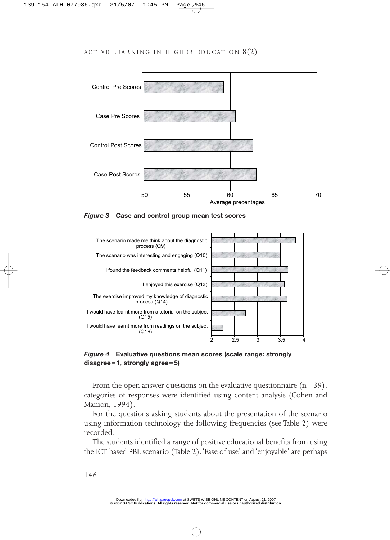

*Figure 3* **Case and control group mean test scores**



*Figure 4* **Evaluative questions mean scores (scale range: strongly disagree1, strongly agree5)**

From the open answer questions on the evaluative questionnaire  $(n=39)$ , categories of responses were identified using content analysis (Cohen and Manion, 1994).

For the questions asking students about the presentation of the scenario using information technology the following frequencies (see Table 2) were recorded.

The students identified a range of positive educational benefits from using the ICT based PBL scenario (Table 2).'Ease of use' and 'enjoyable' are perhaps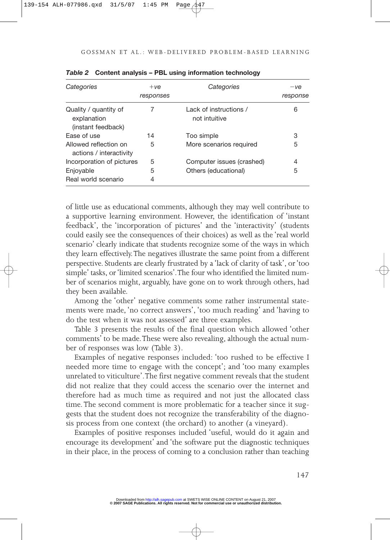| Categories                                                 | $+ve$<br>responses | Categories                              | $-ve$<br>response |
|------------------------------------------------------------|--------------------|-----------------------------------------|-------------------|
| Quality / quantity of<br>explanation<br>(instant feedback) |                    | Lack of instructions /<br>not intuitive | 6                 |
| Fase of use                                                | 14                 | Too simple                              | 3                 |
| Allowed reflection on<br>actions / interactivity           | 5                  | More scenarios required                 | 5                 |
| Incorporation of pictures                                  | 5                  | Computer issues (crashed)               | 4                 |
| Enjoyable                                                  | 5                  | Others (educational)                    | 5                 |
| Real world scenario                                        | 4                  |                                         |                   |

*Table 2* **Content analysis – PBL using information technology**

of little use as educational comments, although they may well contribute to a supportive learning environment. However, the identification of 'instant feedback', the 'incorporation of pictures' and the 'interactivity' (students could easily see the consequences of their choices) as well as the 'real world scenario' clearly indicate that students recognize some of the ways in which they learn effectively.The negatives illustrate the same point from a different perspective. Students are clearly frustrated by a 'lack of clarity of task', or 'too simple' tasks, or 'limited scenarios'.The four who identified the limited number of scenarios might, arguably, have gone on to work through others, had they been available.

Among the 'other' negative comments some rather instrumental statements were made, 'no correct answers', 'too much reading' and 'having to do the test when it was not assessed' are three examples.

Table 3 presents the results of the final question which allowed 'other comments' to be made.These were also revealing, although the actual number of responses was low (Table 3).

Examples of negative responses included: 'too rushed to be effective I needed more time to engage with the concept'; and 'too many examples unrelated to viticulture'.The first negative comment reveals that the student did not realize that they could access the scenario over the internet and therefore had as much time as required and not just the allocated class time.The second comment is more problematic for a teacher since it suggests that the student does not recognize the transferability of the diagnosis process from one context (the orchard) to another (a vineyard).

Examples of positive responses included 'useful, would do it again and encourage its development' and 'the software put the diagnostic techniques in their place, in the process of coming to a conclusion rather than teaching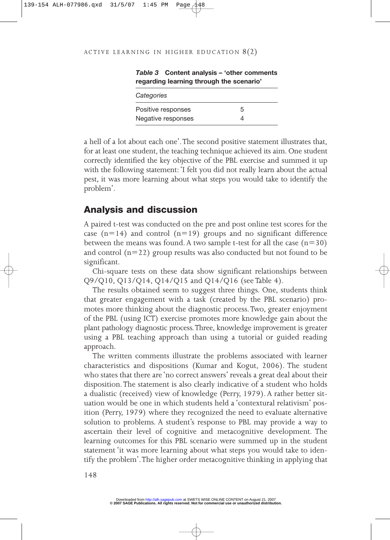| <u>, and an all and the continuity will add all all and addition to</u> |   |  |  |  |
|-------------------------------------------------------------------------|---|--|--|--|
| Categories                                                              |   |  |  |  |
| Positive responses<br>Negative responses                                | 5 |  |  |  |

*Table 3* **Content analysis – 'other comments regarding learning through the scenario'**

a hell of a lot about each one'.The second positive statement illustrates that, for at least one student, the teaching technique achieved its aim. One student correctly identified the key objective of the PBL exercise and summed it up with the following statement:'I felt you did not really learn about the actual pest, it was more learning about what steps you would take to identify the problem'.

# **Analysis and discussion**

A paired t-test was conducted on the pre and post online test scores for the case  $(n=14)$  and control  $(n=19)$  groups and no significant difference between the means was found. A two sample t-test for all the case  $(n=30)$ and control  $(n=22)$  group results was also conducted but not found to be significant.

Chi-square tests on these data show significant relationships between Q9/Q10, Q13/Q14, Q14/Q15 and Q14/Q16 (see Table 4).

The results obtained seem to suggest three things. One, students think that greater engagement with a task (created by the PBL scenario) promotes more thinking about the diagnostic process.Two, greater enjoyment of the PBL (using ICT) exercise promotes more knowledge gain about the plant pathology diagnostic process.Three, knowledge improvement is greater using a PBL teaching approach than using a tutorial or guided reading approach.

The written comments illustrate the problems associated with learner characteristics and dispositions (Kumar and Kogut, 2006). The student who states that there are 'no correct answers' reveals a great deal about their disposition.The statement is also clearly indicative of a student who holds a dualistic (received) view of knowledge (Perry, 1979). A rather better situation would be one in which students held a 'contextural relativism' position (Perry, 1979) where they recognized the need to evaluate alternative solution to problems. A student's response to PBL may provide a way to ascertain their level of cognitive and metacognitive development. The learning outcomes for this PBL scenario were summed up in the student statement 'it was more learning about what steps you would take to identify the problem'.The higher order metacognitive thinking in applying that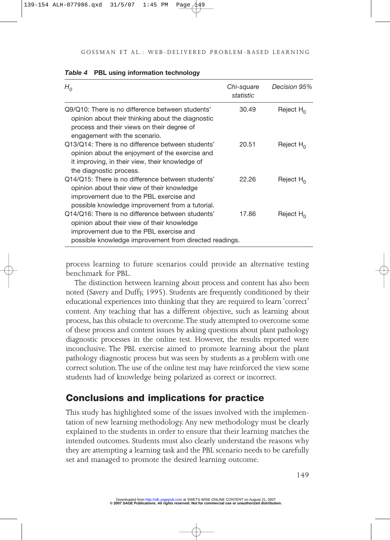| $H_0$                                                                                                                                                                                                 | Chi-square<br>statistic | Decision 95% |
|-------------------------------------------------------------------------------------------------------------------------------------------------------------------------------------------------------|-------------------------|--------------|
| Q9/Q10: There is no difference between students'<br>opinion about their thinking about the diagnostic<br>process and their views on their degree of<br>engagement with the scenario.                  | 30.49                   | Reject $H_0$ |
| Q13/Q14: There is no difference between students'<br>opinion about the enjoyment of the exercise and<br>it improving, in their view, their knowledge of<br>the diagnostic process.                    | 20.51                   | Reject $H_0$ |
| Q14/Q15: There is no difference between students'<br>opinion about their view of their knowledge<br>improvement due to the PBL exercise and<br>possible knowledge improvement from a tutorial.        | 22.26                   | Reject $H_0$ |
| Q14/Q16: There is no difference between students'<br>opinion about their view of their knowledge<br>improvement due to the PBL exercise and<br>possible knowledge improvement from directed readings. | 17.86                   | Reject $H_0$ |

#### *Table 4* **PBL using information technology**

process learning to future scenarios could provide an alternative testing benchmark for PBL.

The distinction between learning about process and content has also been noted (Savery and Duffy, 1995). Students are frequently conditioned by their educational experiences into thinking that they are required to learn 'correct' content. Any teaching that has a different objective, such as learning about process, has this obstacle to overcome.The study attempted to overcome some of these process and content issues by asking questions about plant pathology diagnostic processes in the online test. However, the results reported were inconclusive. The PBL exercise aimed to promote learning about the plant pathology diagnostic process but was seen by students as a problem with one correct solution.The use of the online test may have reinforced the view some students had of knowledge being polarized as correct or incorrect.

## **Conclusions and implications for practice**

This study has highlighted some of the issues involved with the implementation of new learning methodology.Any new methodology must be clearly explained to the students in order to ensure that their learning matches the intended outcomes. Students must also clearly understand the reasons why they are attempting a learning task and the PBL scenario needs to be carefully set and managed to promote the desired learning outcome.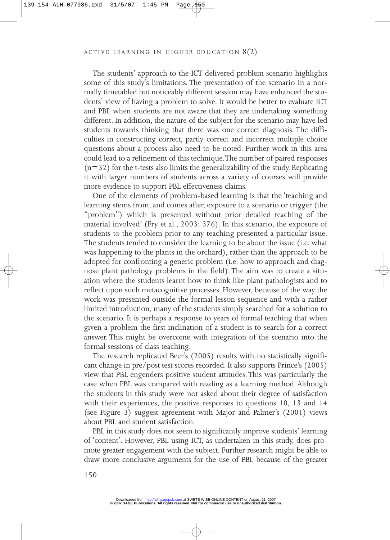The students' approach to the ICT delivered problem scenario highlights some of this study's limitations. The presentation of the scenario in a normally timetabled but noticeably different session may have enhanced the students' view of having a problem to solve. It would be better to evaluate ICT and PBL when students are not aware that they are undertaking something different. In addition, the nature of the subject for the scenario may have led students towards thinking that there was one correct diagnosis. The difficulties in constructing correct, partly correct and incorrect multiple choice questions about a process also need to be noted. Further work in this area could lead to a refinement of this technique.The number of paired responses  $(n=32)$  for the t-tests also limits the generalizability of the study. Replicating it with larger numbers of students across a variety of courses will provide more evidence to support PBL effectiveness claims.

One of the elements of problem-based learning is that the 'teaching and learning stems from, and comes after, exposure to a scenario or trigger (the "problem") which is presented without prior detailed teaching of the material involved' (Fry et al., 2003: 376). In this scenario, the exposure of students to the problem prior to any teaching presented a particular issue. The students tended to consider the learning to be about the issue (i.e. what was happening to the plants in the orchard), rather than the approach to be adopted for confronting a generic problem (i.e. how to approach and diagnose plant pathology problems in the field). The aim was to create a situation where the students learnt how to think like plant pathologists and to reflect upon such metacognitive processes. However, because of the way the work was presented outside the formal lesson sequence and with a rather limited introduction, many of the students simply searched for a solution to the scenario. It is perhaps a response to years of formal teaching that when given a problem the first inclination of a student is to search for a correct answer. This might be overcome with integration of the scenario into the formal sessions of class teaching.

The research replicated Beer's (2005) results with no statistically significant change in pre/post test scores recorded. It also supports Prince's (2005) view that PBL engenders positive student attitudes.This was particularly the case when PBL was compared with reading as a learning method. Although the students in this study were not asked about their degree of satisfaction with their experiences, the positive responses to questions 10, 13 and 14 (see Figure 3) suggest agreement with Major and Palmer's (2001) views about PBL and student satisfaction.

PBL in this study does not seem to significantly improve students' learning of 'content'. However, PBL using ICT, as undertaken in this study, does promote greater engagement with the subject. Further research might be able to draw more conclusive arguments for the use of PBL because of the greater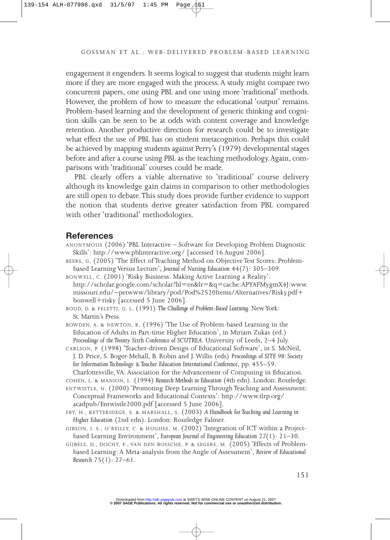engagement it engenders. It seems logical to suggest that students might learn more if they are more engaged with the process.A study might compare two concurrent papers, one using PBL and one using more 'traditional' methods. However, the problem of how to measure the educational 'output' remains. Problem-based learning and the development of generic thinking and cognition skills can be seen to be at odds with content coverage and knowledge retention. Another productive direction for research could be to investigate what effect the use of PBL has on student metacognition. Perhaps this could be achieved by mapping students against Perry's (1979) developmental stages before and after a course using PBL as the teaching methodology.Again, comparisons with 'traditional' courses could be made.

PBL clearly offers a viable alternative to 'traditional' course delivery although its knowledge gain claims in comparison to other methodologies are still open to debate.This study does provide further evidence to support the notion that students derive greater satisfaction from PBL compared with other 'traditional' methodologies.

#### **References**

- ANONYMOUS (2006) 'PBL Interactive Software for Developing Problem Diagnostic Skills':<http://www.pblinteractive.org/> [accessed 16 August 2006].
- BEERS, G. (2005) 'The Effect of Teaching Method on Objective Test Scores: Problembased Learning Versus Lecture', *Journal of Nursing Education* 44(7): 305–309.
- BONWELL, C. (2001) 'Risky Business: Making Active Learning a Reality': [http://scholar.google.com/scholar?hl](http://scholar.google.com/scholar?hlen&lr&qcache:APYAFMygmX4J:www)=en&lr=&q=cache:APYAFMygmX4J:www. missouri.edu/~petwww/library/pod/Pod%2520Items/Alternatives/Risky.pdf bonwell-risky [accessed 5 June 2006].

BOUD, D. & FELETTI, G. L. (1991) *The Challenge of Problem-Based Learning*. New York: St. Martin's Press.

BOWDEN, A. & NEWTON, R. (1996) 'The Use of Problem-based Learning in the Education of Adults in Part-time Higher Education', in Miriam Zukas (ed.) *Proceedings of the Twenty Sixth Conference of SCUTREA*. University of Leeds, 2–4 July.

CARLSON, P. (1998) 'Teacher-driven Design of Educational Software', in S. McNeil, J. D. Price, S. Boger-Mehall, B. Robin and J. Willis (eds) *Proceedings of SITE 98: Society for Information Technology & Teacher Education International Conference*, pp. 455–59.

Charlottesville,VA: Association for the Advancement of Computing in Education. COHEN, L. & MANION, L. (1994) *Research Methods in Education* (4th edn). London: Routledge.

- ENTWISTLE, N. (2000) 'Promoting Deep Learning Through Teaching and Assessment: Conceptual Frameworks and Educational Contexts':<http://www.tlrp.org/> acadpub/Entwistle2000.pdf [accessed 5 June 2006].
- FRY, H., KETTERIDEGE, S. & MARSHALL, S. (2003) *A Handbook for Teaching and Learning in Higher Education* (2nd edn). London: Routledge Falmer.
- GIBSON, I. S., O'REILLY, C. & HUGHES, M. (2002) 'Integration of ICT within a Projectbased Learning Environment', *European Journal of Engineering Education* 27(1): 21–30.
- GIJBELS, D., DOCHY, F., VAN DEN BOSSCHE, P. & SEGERS, M. (2005) 'Effects of Problembased Learning: A Meta-analysis from the Angle of Assessment', *Review of Educational Research* 75(1): 27–61.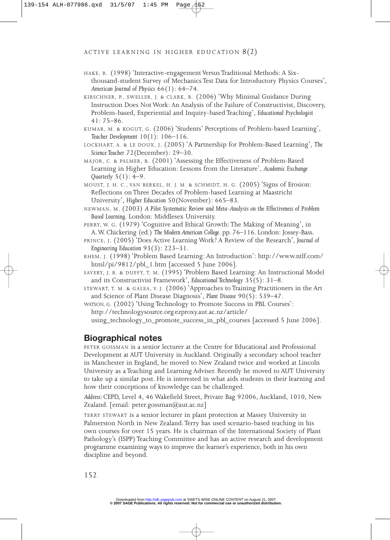- HAKE, R. (1998) 'Interactive-engagement Versus Traditional Methods: A Sixthousand-student Survey of Mechanics Test Data for Introductory Physics Courses', *American Journal of Physics* 66(1): 64–74.
- KIRSCHNER, P., SWELLER, J. & CLARK, R. (2006) 'Why Minimal Guidance During Instruction Does Not Work: An Analysis of the Failure of Constructivist, Discovery, Problem-based, Experiential and Inquiry-based Teaching', *Educational Psychologist* 41: 75–86.
- KUMAR, M. & KOGUT, G. (2006) 'Students' Perceptions of Problem-based Learning', *Teacher Development* 10(1): 106–116.
- LOCKHART, A. & LE DOUX, J. (2005) 'A Partnership for Problem-Based Learning', *The Science Teacher* 72(December): 29–30.
- MAJOR, C. & PALMER, B. (2001) 'Assessing the Effectiveness of Problem-Based Learning in Higher Education: Lessons from the Literature', *Academic Exchange Quarterly* 5(1): 4–9.

MOUST, J. H. C., VAN BERKEL, H. J. M. & SCHMIDT, H. G. (2005) 'Signs of Erosion: Reflections on Three Decades of Problem-based Learning at Maastricht University', *Higher Education* 50(November): 665–83.

- NEWMAN, M. (2003) *A Pilot Systematic Review and Meta-Analysis on the Effectiveness of Problem Based Learning*. London: Middlesex University.
- PERRY, W. G. (1979) 'Cognitive and Ethical Growth:The Making of Meaning', in A.W. Chickering (ed.) *The Modern American College*. pp. 76–116. London: Jossey-Bass.
- PRINCE, J. (2005) 'Does Active Learning Work? A Review of the Research', *Journal of Engineering Education* 93(3): 223–31.
- RHEM, J. (1998) 'Problem Based Learning: An Introduction':<http://www.ntlf.com/> html/pi/9812/pbl\_1.htm [accessed 5 June 2006].
- SAVERY, J. R. & DUFFY, T. M. (1995) 'Problem Based Learning: An Instructional Model and its Constructivist Framework', *Educational Technology* 35(5): 31–8.
- STEWART, T. M. & GALEA, V. J. (2006) 'Approaches to Training Practitioners in the Art and Science of Plant Disease Diagnosis', *Plant Disease* 90(5): 539–47.

WATSON, G. (2002) 'Using Technology to Promote Success in PBL Courses': <http://technologysource.org.ezproxy.aut.ac.nz/article/> using\_technology\_to\_promote\_success\_in\_pbl\_courses [accessed 5 June 2006].

### **Biographical notes**

PETER GOSSMAN is a senior lecturer at the Centre for Educational and Professional Development at AUT University in Auckland. Originally a secondary school teacher in Manchester in England, he moved to New Zealand twice and worked at Lincoln University as a Teaching and Learning Adviser. Recently he moved to AUT University to take up a similar post. He is interested in what aids students in their learning and how their conceptions of knowledge can be challenged.

*Address:* CEPD, Level 4, 46 Wakefield Street, Private Bag 92006, Auckland, 1010, New Zealand. [email: peter.gossman@aut.ac.nz]

TERRY STEWART is a senior lecturer in plant protection at Massey University in Palmerston North in New Zealand.Terry has used scenario-based teaching in his own courses for over 15 years. He is chairman of the International Society of Plant Pathology's (ISPP) Teaching Committee and has an active research and development programme examining ways to improve the learner's experience, both in his own discipline and beyond.